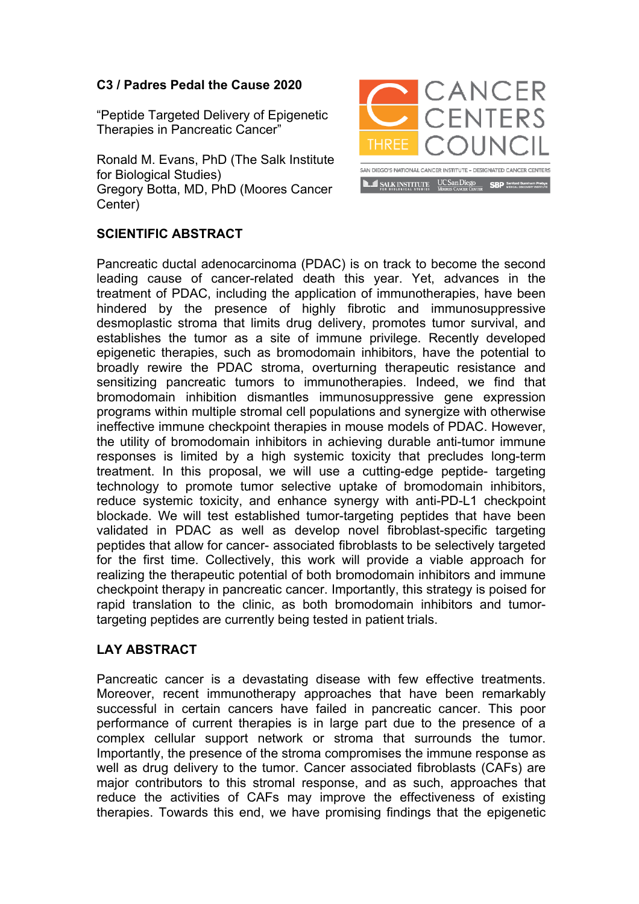## **C3 / Padres Pedal the Cause 2020**

"Peptide Targeted Delivery of Epigenetic Therapies in Pancreatic Cancer"

Ronald M. Evans, PhD (The Salk Institute for Biological Studies) Gregory Botta, MD, PhD (Moores Cancer Center)



## **SCIENTIFIC ABSTRACT**

Pancreatic ductal adenocarcinoma (PDAC) is on track to become the second leading cause of cancer-related death this year. Yet, advances in the treatment of PDAC, including the application of immunotherapies, have been hindered by the presence of highly fibrotic and immunosuppressive desmoplastic stroma that limits drug delivery, promotes tumor survival, and establishes the tumor as a site of immune privilege. Recently developed epigenetic therapies, such as bromodomain inhibitors, have the potential to broadly rewire the PDAC stroma, overturning therapeutic resistance and sensitizing pancreatic tumors to immunotherapies. Indeed, we find that bromodomain inhibition dismantles immunosuppressive gene expression programs within multiple stromal cell populations and synergize with otherwise ineffective immune checkpoint therapies in mouse models of PDAC. However, the utility of bromodomain inhibitors in achieving durable anti-tumor immune responses is limited by a high systemic toxicity that precludes long-term treatment. In this proposal, we will use a cutting-edge peptide- targeting technology to promote tumor selective uptake of bromodomain inhibitors, reduce systemic toxicity, and enhance synergy with anti-PD-L1 checkpoint blockade. We will test established tumor-targeting peptides that have been validated in PDAC as well as develop novel fibroblast-specific targeting peptides that allow for cancer- associated fibroblasts to be selectively targeted for the first time. Collectively, this work will provide a viable approach for realizing the therapeutic potential of both bromodomain inhibitors and immune checkpoint therapy in pancreatic cancer. Importantly, this strategy is poised for rapid translation to the clinic, as both bromodomain inhibitors and tumortargeting peptides are currently being tested in patient trials.

## **LAY ABSTRACT**

Pancreatic cancer is a devastating disease with few effective treatments. Moreover, recent immunotherapy approaches that have been remarkably successful in certain cancers have failed in pancreatic cancer. This poor performance of current therapies is in large part due to the presence of a complex cellular support network or stroma that surrounds the tumor. Importantly, the presence of the stroma compromises the immune response as well as drug delivery to the tumor. Cancer associated fibroblasts (CAFs) are major contributors to this stromal response, and as such, approaches that reduce the activities of CAFs may improve the effectiveness of existing therapies. Towards this end, we have promising findings that the epigenetic